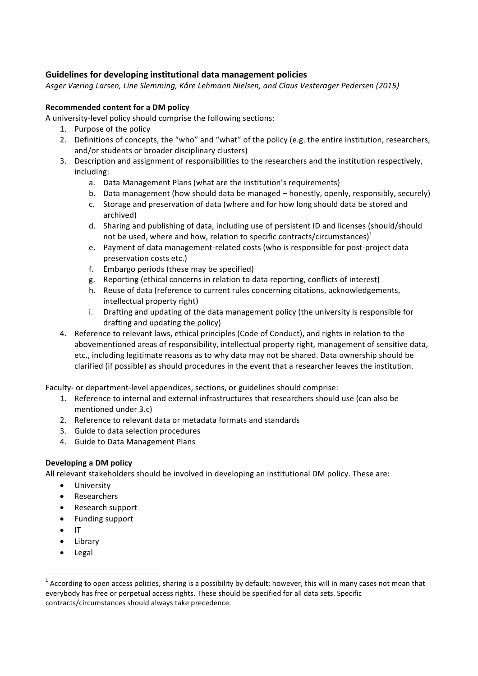## **Guidelines for developing institutional data management policies**

Asger Væring Larsen, Line Slemming, Kåre Lehmann Nielsen, and Claus Vesterager Pedersen (2015)

## **Recommended content for a DM policy**

A university-level policy should comprise the following sections:

- 1. Purpose of the policy
- 2. Definitions of concepts, the "who" and "what" of the policy (e.g. the entire institution, researchers, and/or students or broader disciplinary clusters)
- 3. Description and assignment of responsibilities to the researchers and the institution respectively, including:
	- a. Data Management Plans (what are the institution's requirements)
	- b. Data management (how should data be managed honestly, openly, responsibly, securely)
	- c. Storage and preservation of data (where and for how long should data be stored and archived)
	- d. Sharing and publishing of data, including use of persistent ID and licenses (should/should not be used, where and how, relation to specific contracts/circumstances) $<sup>1</sup>$ </sup>
	- e. Payment of data management-related costs (who is responsible for post-project data preservation costs etc.)
	- f. Embargo periods (these may be specified)
	- g. Reporting (ethical concerns in relation to data reporting, conflicts of interest)
	- h. Reuse of data (reference to current rules concerning citations, acknowledgements, intellectual property right)
	- i. Drafting and updating of the data management policy (the university is responsible for drafting and updating the policy)
- 4. Reference to relevant laws, ethical principles (Code of Conduct), and rights in relation to the abovementioned areas of responsibility, intellectual property right, management of sensitive data, etc., including legitimate reasons as to why data may not be shared. Data ownership should be clarified (if possible) as should procedures in the event that a researcher leaves the institution.

Faculty- or department-level appendices, sections, or guidelines should comprise:

- 1. Reference to internal and external infrastructures that researchers should use (can also be mentioned under 3.c)
- 2. Reference to relevant data or metadata formats and standards
- 3. Guide to data selection procedures
- 4. Guide to Data Management Plans

## **Developing a DM policy**

All relevant stakeholders should be involved in developing an institutional DM policy. These are:

- University
- Researchers
- Research support
- Funding support

<u> 1989 - Johann Barn, mars ann an t-Amhain an t-Amhain an t-Amhain an t-Amhain an t-Amhain an t-Amhain an t-Amh</u>

- IT
- Library
- Legal

 $1$  According to open access policies, sharing is a possibility by default; however, this will in many cases not mean that everybody has free or perpetual access rights. These should be specified for all data sets. Specific contracts/circumstances should always take precedence.